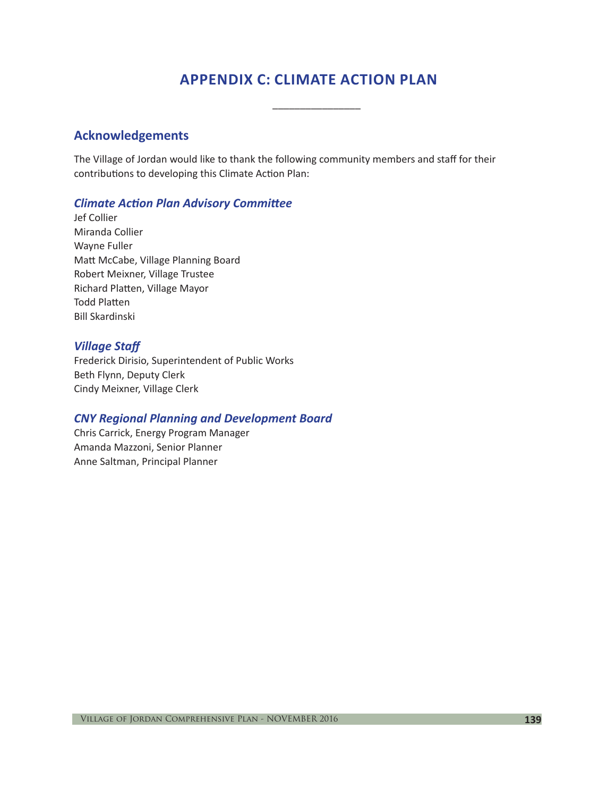# **APPENDIX C: CLIMATE ACTION PLAN**

\_\_\_\_\_\_\_\_\_\_\_\_\_\_\_\_

## **Acknowledgements**

The Village of Jordan would like to thank the following community members and staff for their contributions to developing this Climate Action Plan:

### *Climate Action Plan Advisory Committee*

Jef Collier Miranda Collier Wayne Fuller Matt McCabe, Village Planning Board Robert Meixner, Village Trustee Richard Platten, Village Mayor Todd Platten Bill Skardinski

### *Village Staff*

Frederick Dirisio, Superintendent of Public Works Beth Flynn, Deputy Clerk Cindy Meixner, Village Clerk

#### *CNY Regional Planning and Development Board*

Chris Carrick, Energy Program Manager Amanda Mazzoni, Senior Planner Anne Saltman, Principal Planner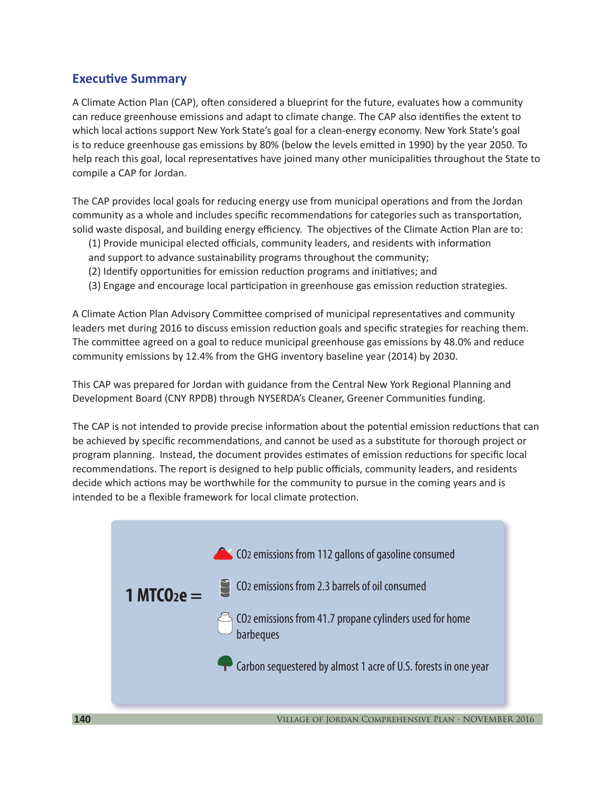# **Executive Summary**

A Climate Action Plan (CAP), often considered a blueprint for the future, evaluates how a community can reduce greenhouse emissions and adapt to climate change. The CAP also identifies the extent to which local actions support New York State's goal for a clean-energy economy. New York State's goal is to reduce greenhouse gas emissions by 80% (below the levels emitted in 1990) by the year 2050. To help reach this goal, local representatives have joined many other municipalities throughout the State to compile a CAP for Jordan.

The CAP provides local goals for reducing energy use from municipal operations and from the Jordan community as a whole and includes specific recommendations for categories such as transportation, solid waste disposal, and building energy efficiency. The objectives of the Climate Action Plan are to:

- (1) Provide municipal elected officials, community leaders, and residents with information
- and support to advance sustainability programs throughout the community;
- (2) Identify opportunities for emission reduction programs and initiatives; and
- (3) Engage and encourage local participation in greenhouse gas emission reduction strategies.

A Climate Action Plan Advisory Committee comprised of municipal representatives and community leaders met during 2016 to discuss emission reduction goals and specific strategies for reaching them. The committee agreed on a goal to reduce municipal greenhouse gas emissions by 48.0% and reduce community emissions by 12.4% from the GHG inventory baseline year (2014) by 2030.

This CAP was prepared for Jordan with guidance from the Central New York Regional Planning and Development Board (CNY RPDB) through NYSERDA's Cleaner, Greener Communities funding.

The CAP is not intended to provide precise information about the potential emission reductions that can be achieved by specific recommendations, and cannot be used as a substitute for thorough project or program planning. Instead, the document provides estimates of emission reductions for specific local recommendations. The report is designed to help public officials, community leaders, and residents decide which actions may be worthwhile for the community to pursue in the coming years and is intended to be a flexible framework for local climate protection.

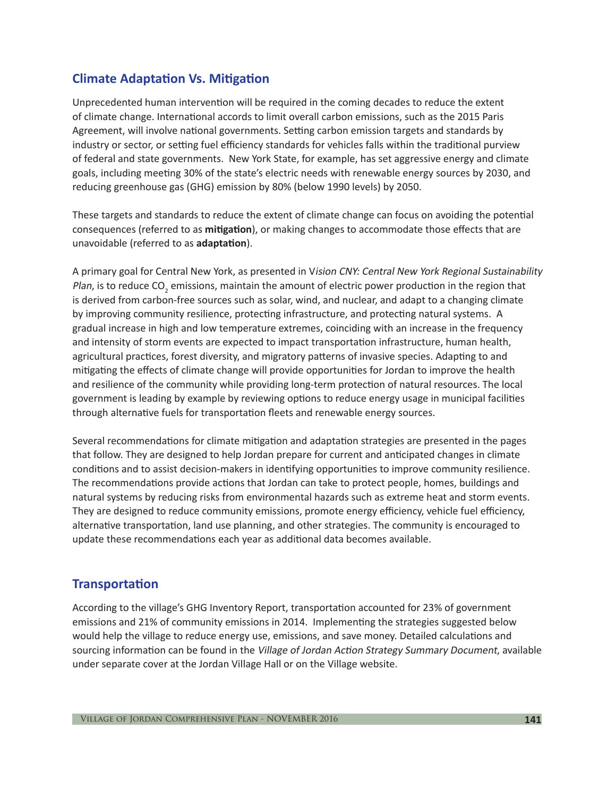# **Climate Adaptation Vs. Mitigation**

Unprecedented human intervention will be required in the coming decades to reduce the extent of climate change. International accords to limit overall carbon emissions, such as the 2015 Paris Agreement, will involve national governments. Setting carbon emission targets and standards by industry or sector, or setting fuel efficiency standards for vehicles falls within the traditional purview of federal and state governments. New York State, for example, has set aggressive energy and climate goals, including meeting 30% of the state's electric needs with renewable energy sources by 2030, and reducing greenhouse gas (GHG) emission by 80% (below 1990 levels) by 2050.

These targets and standards to reduce the extent of climate change can focus on avoiding the potential consequences (referred to as **mitigation**), or making changes to accommodate those effects that are unavoidable (referred to as **adaptation**).

A primary goal for Central New York, as presented in Vision CNY: Central New York Regional Sustainability *Plan,* is to reduce CO<sub>2</sub> emissions, maintain the amount of electric power production in the region that is derived from carbon-free sources such as solar, wind, and nuclear, and adapt to a changing climate by improving community resilience, protecting infrastructure, and protecting natural systems. A gradual increase in high and low temperature extremes, coinciding with an increase in the frequency and intensity of storm events are expected to impact transportation infrastructure, human health, agricultural practices, forest diversity, and migratory patterns of invasive species. Adapting to and mitigating the effects of climate change will provide opportunities for Jordan to improve the health and resilience of the community while providing long-term protection of natural resources. The local government is leading by example by reviewing options to reduce energy usage in municipal facilities through alternative fuels for transportation fleets and renewable energy sources.

Several recommendations for climate mitigation and adaptation strategies are presented in the pages that follow. They are designed to help Jordan prepare for current and anticipated changes in climate conditions and to assist decision-makers in identifying opportunities to improve community resilience. The recommendations provide actions that Jordan can take to protect people, homes, buildings and natural systems by reducing risks from environmental hazards such as extreme heat and storm events. They are designed to reduce community emissions, promote energy efficiency, vehicle fuel efficiency, alternative transportation, land use planning, and other strategies. The community is encouraged to update these recommendations each year as additional data becomes available.

# **Transportation**

According to the village's GHG Inventory Report, transportation accounted for 23% of government emissions and 21% of community emissions in 2014. Implementing the strategies suggested below would help the village to reduce energy use, emissions, and save money. Detailed calculations and sourcing information can be found in the Village of Jordan Action Strategy Summary Document, available under separate cover at the Jordan Village Hall or on the Village website.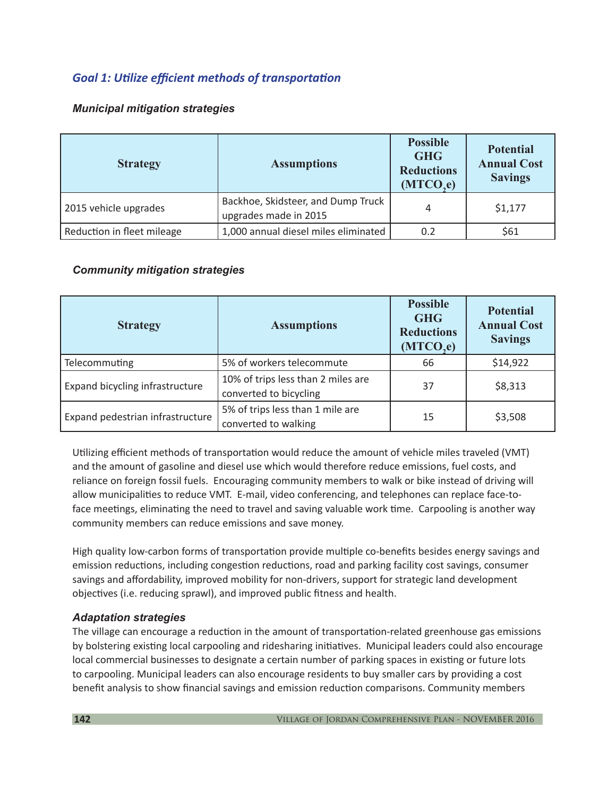# *Goal 1: Utilize efficient methods of transportation*

### *Municipal mitigation strategies*

| <b>Strategy</b>            | <b>Assumptions</b>                                          | <b>Possible</b><br><b>GHG</b><br><b>Reductions</b><br>(MTCO,e) | <b>Potential</b><br><b>Annual Cost</b><br><b>Savings</b> |
|----------------------------|-------------------------------------------------------------|----------------------------------------------------------------|----------------------------------------------------------|
| 2015 vehicle upgrades      | Backhoe, Skidsteer, and Dump Truck<br>upgrades made in 2015 | 4                                                              | \$1,177                                                  |
| Reduction in fleet mileage | 1,000 annual diesel miles eliminated                        | 0.2                                                            | \$61                                                     |

### *Community mitigation strategies*

| <b>Strategy</b>                  | <b>Assumptions</b>                                           | <b>Possible</b><br><b>GHG</b><br><b>Reductions</b><br>(MTCO,e) | <b>Potential</b><br><b>Annual Cost</b><br><b>Savings</b> |
|----------------------------------|--------------------------------------------------------------|----------------------------------------------------------------|----------------------------------------------------------|
| Telecommuting                    | 5% of workers telecommute                                    | 66                                                             | \$14,922                                                 |
| Expand bicycling infrastructure  | 10% of trips less than 2 miles are<br>converted to bicycling | 37                                                             | \$8,313                                                  |
| Expand pedestrian infrastructure | 5% of trips less than 1 mile are<br>converted to walking     | 15                                                             | \$3,508                                                  |

Utilizing efficient methods of transportation would reduce the amount of vehicle miles traveled (VMT) and the amount of gasoline and diesel use which would therefore reduce emissions, fuel costs, and reliance on foreign fossil fuels. Encouraging community members to walk or bike instead of driving will allow municipalities to reduce VMT. E-mail, video conferencing, and telephones can replace face-toface meetings, eliminating the need to travel and saving valuable work time. Carpooling is another way community members can reduce emissions and save money.

High quality low-carbon forms of transportation provide multiple co-benefits besides energy savings and emission reductions, including congestion reductions, road and parking facility cost savings, consumer savings and affordability, improved mobility for non-drivers, support for strategic land development objectives (i.e. reducing sprawl), and improved public fitness and health.

#### *Adaptation strategies*

The village can encourage a reduction in the amount of transportation‐related greenhouse gas emissions by bolstering existing local carpooling and ridesharing initiatives. Municipal leaders could also encourage local commercial businesses to designate a certain number of parking spaces in existing or future lots to carpooling. Municipal leaders can also encourage residents to buy smaller cars by providing a cost benefit analysis to show financial savings and emission reduction comparisons. Community members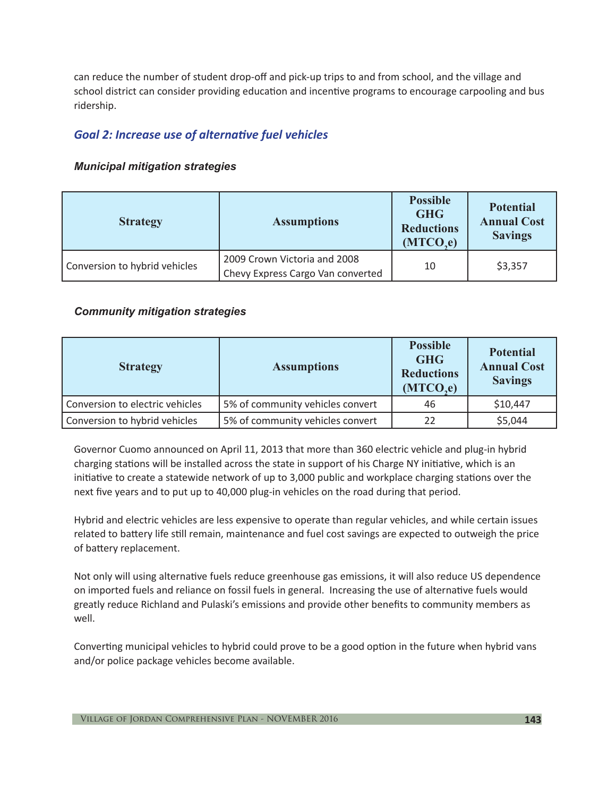can reduce the number of student drop-off and pick-up trips to and from school, and the village and school district can consider providing education and incentive programs to encourage carpooling and bus ridership.

# *Goal 2: Increase use of alternative fuel vehicles*

### *Municipal mitigation strategies*

| <b>Strategy</b>               | <b>Assumptions</b>                                                | <b>Possible</b><br><b>GHG</b><br><b>Reductions</b><br>(MTCO,e) | <b>Potential</b><br><b>Annual Cost</b><br><b>Savings</b> |
|-------------------------------|-------------------------------------------------------------------|----------------------------------------------------------------|----------------------------------------------------------|
| Conversion to hybrid vehicles | 2009 Crown Victoria and 2008<br>Chevy Express Cargo Van converted | 10                                                             | \$3,357                                                  |

### *Community mitigation strategies*

| <b>Strategy</b>                 | <b>Assumptions</b>               | <b>Possible</b><br><b>GHG</b><br><b>Reductions</b><br>(MTCO,e) | <b>Potential</b><br><b>Annual Cost</b><br><b>Savings</b> |
|---------------------------------|----------------------------------|----------------------------------------------------------------|----------------------------------------------------------|
| Conversion to electric vehicles | 5% of community vehicles convert | 46                                                             | \$10,447                                                 |
| Conversion to hybrid vehicles   | 5% of community vehicles convert | 22                                                             | \$5,044                                                  |

Governor Cuomo announced on April 11, 2013 that more than 360 electric vehicle and plug-in hybrid charging stations will be installed across the state in support of his Charge NY initiative, which is an initiative to create a statewide network of up to 3,000 public and workplace charging stations over the next five years and to put up to 40,000 plug-in vehicles on the road during that period.

Hybrid and electric vehicles are less expensive to operate than regular vehicles, and while certain issues related to battery life still remain, maintenance and fuel cost savings are expected to outweigh the price of battery replacement.

Not only will using alternative fuels reduce greenhouse gas emissions, it will also reduce US dependence on imported fuels and reliance on fossil fuels in general. Increasing the use of alternative fuels would greatly reduce Richland and Pulaski's emissions and provide other benefits to community members as well.

Converting municipal vehicles to hybrid could prove to be a good option in the future when hybrid vans and/or police package vehicles become available.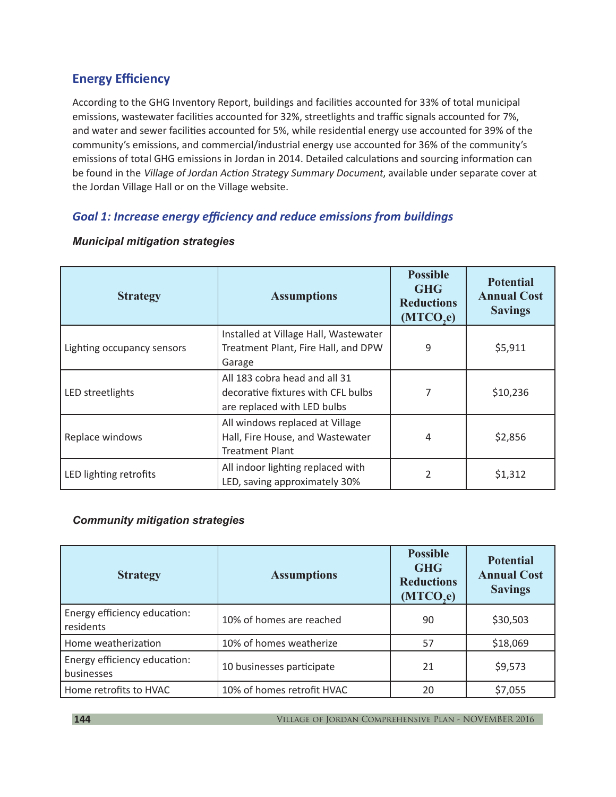# **Energy Efficiency**

According to the GHG Inventory Report, buildings and facilities accounted for 33% of total municipal emissions, wastewater facilities accounted for 32%, streetlights and traffic signals accounted for 7%, and water and sewer facilities accounted for 5%, while residential energy use accounted for 39% of the community's emissions, and commercial/industrial energy use accounted for 36% of the community's emissions of total GHG emissions in Jordan in 2014. Detailed calculations and sourcing information can be found in the Village of Jordan Action Strategy Summary Document, available under separate cover at the Jordan Village Hall or on the Village website.

## *Goal 1: Increase energy efficiency and reduce emissions from buildings*

| <b>Strategy</b>            | <b>Assumptions</b>                                                                                 | <b>Possible</b><br><b>GHG</b><br><b>Reductions</b><br>(MTCO,e) | <b>Potential</b><br><b>Annual Cost</b><br><b>Savings</b> |
|----------------------------|----------------------------------------------------------------------------------------------------|----------------------------------------------------------------|----------------------------------------------------------|
| Lighting occupancy sensors | Installed at Village Hall, Wastewater<br>Treatment Plant, Fire Hall, and DPW<br>Garage             | 9                                                              | \$5,911                                                  |
| LED streetlights           | All 183 cobra head and all 31<br>decorative fixtures with CFL bulbs<br>are replaced with LED bulbs | 7                                                              | \$10,236                                                 |
| Replace windows            | All windows replaced at Village<br>Hall, Fire House, and Wastewater<br><b>Treatment Plant</b>      | 4                                                              | \$2,856                                                  |
| LED lighting retrofits     | All indoor lighting replaced with<br>LED, saving approximately 30%                                 | $\overline{\phantom{a}}$                                       | \$1,312                                                  |

#### *Municipal mitigation strategies*

#### *Community mitigation strategies*

| <b>Strategy</b>                            | <b>Assumptions</b>         | <b>Possible</b><br><b>GHG</b><br><b>Reductions</b><br>(MTCO,e) | <b>Potential</b><br><b>Annual Cost</b><br><b>Savings</b> |
|--------------------------------------------|----------------------------|----------------------------------------------------------------|----------------------------------------------------------|
| Energy efficiency education:<br>residents  | 10% of homes are reached   | 90                                                             | \$30,503                                                 |
| Home weatherization                        | 10% of homes weatherize    | 57                                                             | \$18,069                                                 |
| Energy efficiency education:<br>businesses | 10 businesses participate  | 21                                                             | \$9,573                                                  |
| Home retrofits to HVAC                     | 10% of homes retrofit HVAC | 20                                                             | \$7,055                                                  |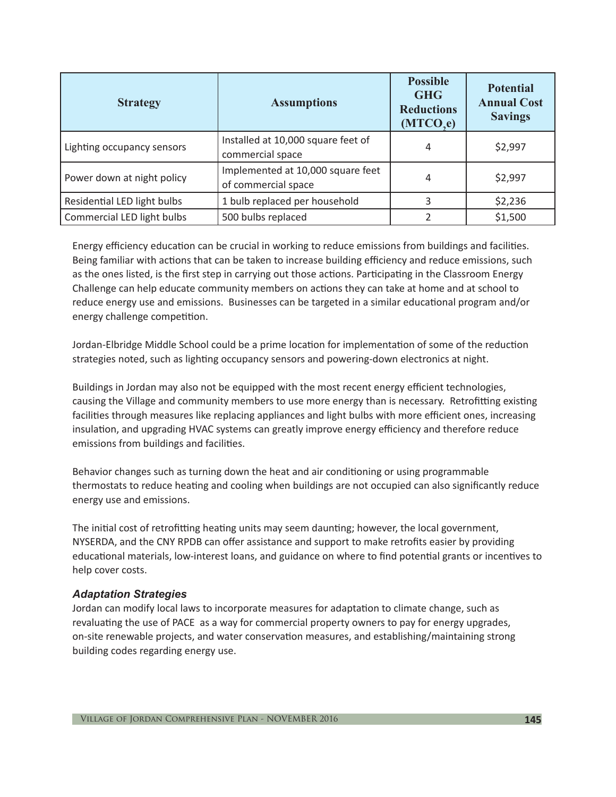| <b>Strategy</b>             | <b>Assumptions</b>                                       | <b>Possible</b><br><b>GHG</b><br><b>Reductions</b><br>(MTCO,e) | <b>Potential</b><br><b>Annual Cost</b><br><b>Savings</b> |
|-----------------------------|----------------------------------------------------------|----------------------------------------------------------------|----------------------------------------------------------|
| Lighting occupancy sensors  | Installed at 10,000 square feet of<br>commercial space   | 4                                                              | \$2,997                                                  |
| Power down at night policy  | Implemented at 10,000 square feet<br>of commercial space | 4                                                              | \$2,997                                                  |
| Residential LED light bulbs | 1 bulb replaced per household                            | 3                                                              | \$2,236                                                  |
| Commercial LED light bulbs  | 500 bulbs replaced                                       |                                                                | \$1,500                                                  |

Energy efficiency education can be crucial in working to reduce emissions from buildings and facilities. Being familiar with actions that can be taken to increase building efficiency and reduce emissions, such as the ones listed, is the first step in carrying out those actions. Participating in the Classroom Energy Challenge can help educate community members on actions they can take at home and at school to reduce energy use and emissions. Businesses can be targeted in a similar educational program and/or energy challenge competition.

Jordan-Elbridge Middle School could be a prime location for implementation of some of the reduction strategies noted, such as lighting occupancy sensors and powering-down electronics at night.

Buildings in Jordan may also not be equipped with the most recent energy efficient technologies, causing the Village and community members to use more energy than is necessary. Retrofitting existing facilities through measures like replacing appliances and light bulbs with more efficient ones, increasing insulation, and upgrading HVAC systems can greatly improve energy efficiency and therefore reduce emissions from buildings and facilities.

Behavior changes such as turning down the heat and air conditioning or using programmable thermostats to reduce heating and cooling when buildings are not occupied can also significantly reduce energy use and emissions.

The initial cost of retrofitting heating units may seem daunting; however, the local government, NYSERDA, and the CNY RPDB can offer assistance and support to make retrofits easier by providing educational materials, low-interest loans, and guidance on where to find potential grants or incentives to help cover costs.

#### *Adaptation Strategies*

Jordan can modify local laws to incorporate measures for adaptation to climate change, such as revaluating the use of PACE as a way for commercial property owners to pay for energy upgrades, on-site renewable projects, and water conservation measures, and establishing/maintaining strong building codes regarding energy use.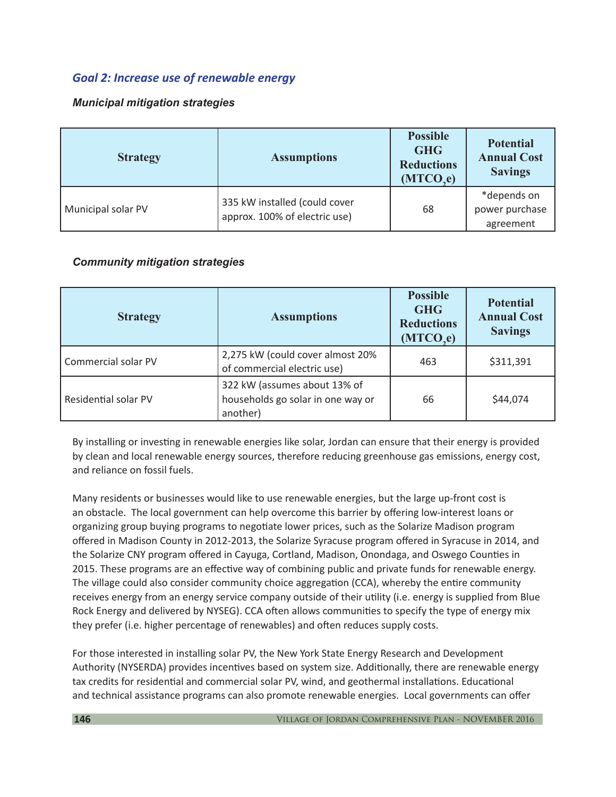## *Goal 2: Increase use of renewable energy*

### *Municipal mitigation strategies*

| <b>Strategy</b>    | <b>Assumptions</b>                                             | <b>Possible</b><br><b>GHG</b><br><b>Reductions</b><br>(MTCO,e) | <b>Potential</b><br><b>Annual Cost</b><br><b>Savings</b> |
|--------------------|----------------------------------------------------------------|----------------------------------------------------------------|----------------------------------------------------------|
| Municipal solar PV | 335 kW installed (could cover<br>approx. 100% of electric use) | 68                                                             | *depends on<br>power purchase<br>agreement               |

#### *Community mitigation strategies*

| <b>Strategy</b>      | <b>Assumptions</b>                                                            | <b>Possible</b><br><b>GHG</b><br><b>Reductions</b><br>(MTCO,e) | <b>Potential</b><br><b>Annual Cost</b><br><b>Savings</b> |
|----------------------|-------------------------------------------------------------------------------|----------------------------------------------------------------|----------------------------------------------------------|
| Commercial solar PV  | 2,275 kW (could cover almost 20%<br>of commercial electric use)               | 463                                                            | \$311,391                                                |
| Residential solar PV | 322 kW (assumes about 13% of<br>households go solar in one way or<br>another) | 66                                                             | \$44,074                                                 |

By installing or investing in renewable energies like solar, Jordan can ensure that their energy is provided by clean and local renewable energy sources, therefore reducing greenhouse gas emissions, energy cost, and reliance on fossil fuels.

Many residents or businesses would like to use renewable energies, but the large up-front cost is an obstacle. The local government can help overcome this barrier by offering low-interest loans or organizing group buying programs to negotiate lower prices, such as the Solarize Madison program offered in Madison County in 2012-2013, the Solarize Syracuse program offered in Syracuse in 2014, and the Solarize CNY program offered in Cayuga, Cortland, Madison, Onondaga, and Oswego Counties in 2015. These programs are an effective way of combining public and private funds for renewable energy. The village could also consider community choice aggregation (CCA), whereby the entire community receives energy from an energy service company outside of their utility (i.e. energy is supplied from Blue Rock Energy and delivered by NYSEG). CCA often allows communities to specify the type of energy mix they prefer (i.e. higher percentage of renewables) and often reduces supply costs.

For those interested in installing solar PV, the New York State Energy Research and Development Authority (NYSERDA) provides incentives based on system size. Additionally, there are renewable energy tax credits for residential and commercial solar PV, wind, and geothermal installations. Educational and technical assistance programs can also promote renewable energies. Local governments can offer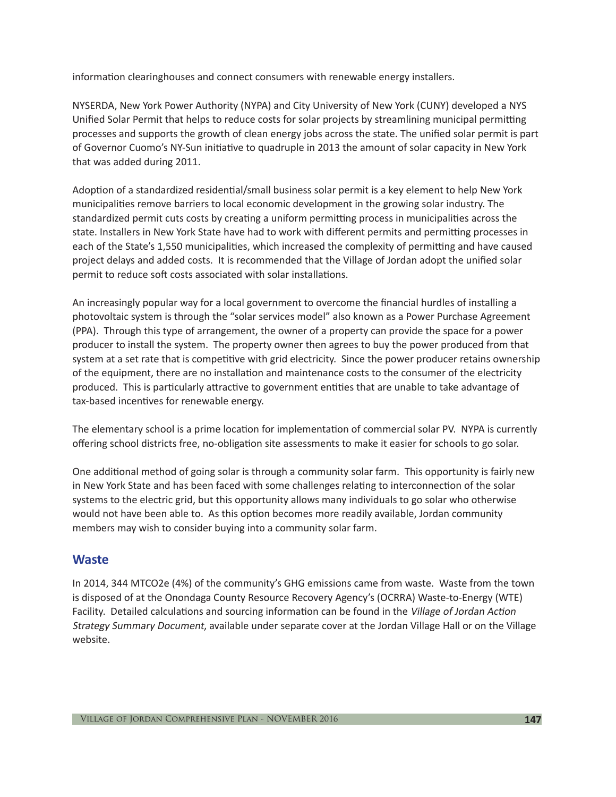information clearinghouses and connect consumers with renewable energy installers.

NYSERDA, New York Power Authority (NYPA) and City University of New York (CUNY) developed a NYS Unified Solar Permit that helps to reduce costs for solar projects by streamlining municipal permitting processes and supports the growth of clean energy jobs across the state. The unified solar permit is part of Governor Cuomo's NY-Sun initiative to quadruple in 2013 the amount of solar capacity in New York that was added during 2011.

Adoption of a standardized residential/small business solar permit is a key element to help New York municipalities remove barriers to local economic development in the growing solar industry. The standardized permit cuts costs by creating a uniform permitting process in municipalities across the state. Installers in New York State have had to work with different permits and permitting processes in each of the State's 1,550 municipalities, which increased the complexity of permitting and have caused project delays and added costs. It is recommended that the Village of Jordan adopt the unified solar permit to reduce soft costs associated with solar installations.

An increasingly popular way for a local government to overcome the financial hurdles of installing a photovoltaic system is through the "solar services model" also known as a Power Purchase Agreement (PPA). Through this type of arrangement, the owner of a property can provide the space for a power producer to install the system. The property owner then agrees to buy the power produced from that system at a set rate that is competitive with grid electricity. Since the power producer retains ownership of the equipment, there are no installation and maintenance costs to the consumer of the electricity produced. This is particularly attractive to government entities that are unable to take advantage of tax-based incentives for renewable energy.

The elementary school is a prime location for implementation of commercial solar PV. NYPA is currently offering school districts free, no-obligation site assessments to make it easier for schools to go solar.

One additional method of going solar is through a community solar farm. This opportunity is fairly new in New York State and has been faced with some challenges relating to interconnection of the solar systems to the electric grid, but this opportunity allows many individuals to go solar who otherwise would not have been able to. As this option becomes more readily available, Jordan community members may wish to consider buying into a community solar farm.

### **Waste**

In 2014, 344 MTCO2e (4%) of the community's GHG emissions came from waste. Waste from the town is disposed of at the Onondaga County Resource Recovery Agency's (OCRRA) Waste-to-Energy (WTE) Facility. Detailed calculations and sourcing information can be found in the Village of Jordan Action Strategy Summary Document, available under separate cover at the Jordan Village Hall or on the Village website.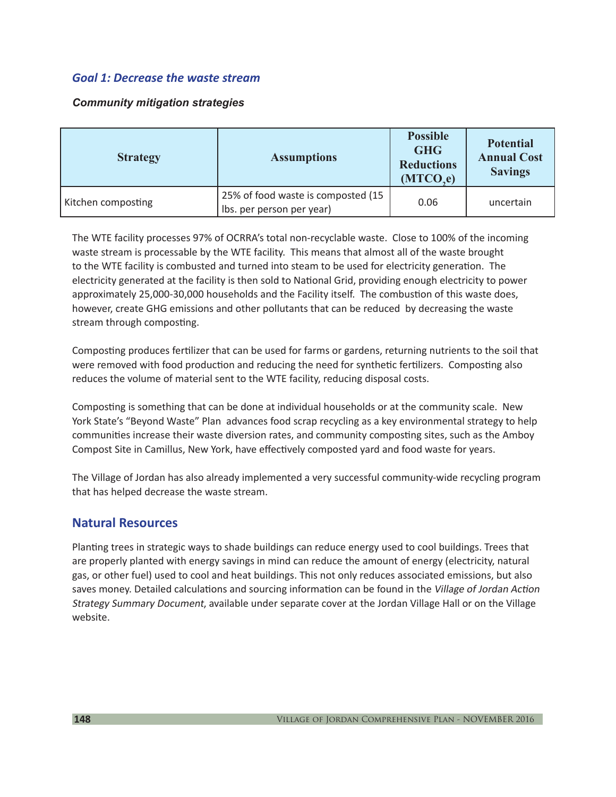### *Goal 1: Decrease the waste stream*

#### *Community mitigation strategies*

| <b>Strategy</b>    | <b>Assumptions</b>                                              | <b>Possible</b><br><b>GHG</b><br><b>Reductions</b><br>(MTCO,e) | <b>Potential</b><br><b>Annual Cost</b><br><b>Savings</b> |
|--------------------|-----------------------------------------------------------------|----------------------------------------------------------------|----------------------------------------------------------|
| Kitchen composting | 25% of food waste is composted (15<br>Ibs. per person per year) | 0.06                                                           | uncertain                                                |

The WTE facility processes 97% of OCRRA's total non-recyclable waste. Close to 100% of the incoming waste stream is processable by the WTE facility. This means that almost all of the waste brought to the WTE facility is combusted and turned into steam to be used for electricity generation. The electricity generated at the facility is then sold to National Grid, providing enough electricity to power approximately 25,000-30,000 households and the Facility itself. The combustion of this waste does, however, create GHG emissions and other pollutants that can be reduced by decreasing the waste stream through composting.

Composting produces fertilizer that can be used for farms or gardens, returning nutrients to the soil that were removed with food production and reducing the need for synthetic fertilizers. Composting also reduces the volume of material sent to the WTE facility, reducing disposal costs.

Composting is something that can be done at individual households or at the community scale. New York State's "Beyond Waste" Plan advances food scrap recycling as a key environmental strategy to help communities increase their waste diversion rates, and community composting sites, such as the Amboy Compost Site in Camillus, New York, have effectively composted yard and food waste for years.

The Village of Jordan has also already implemented a very successful community-wide recycling program that has helped decrease the waste stream.

### **Natural Resources**

Planting trees in strategic ways to shade buildings can reduce energy used to cool buildings. Trees that are properly planted with energy savings in mind can reduce the amount of energy (electricity, natural gas, or other fuel) used to cool and heat buildings. This not only reduces associated emissions, but also saves money. Detailed calculations and sourcing information can be found in the Village of Jordan Action Strategy Summary Document, available under separate cover at the Jordan Village Hall or on the Village website.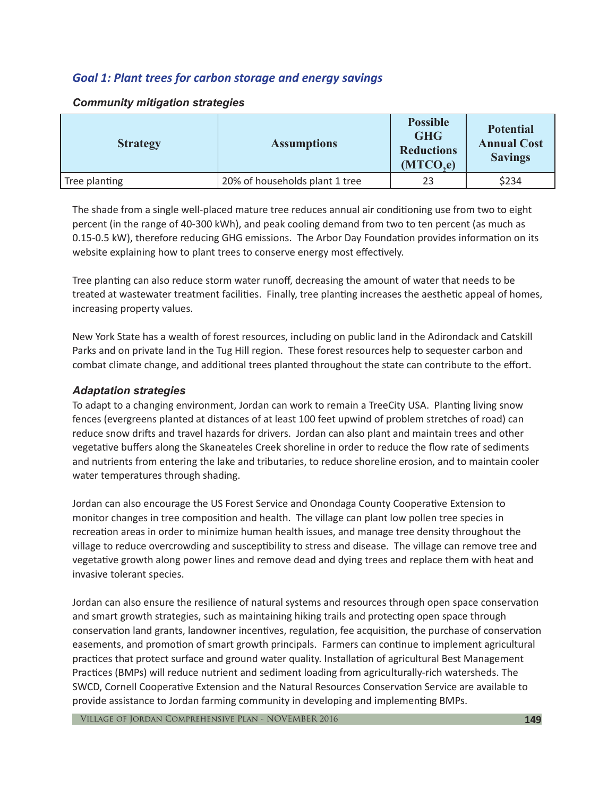## *Goal 1: Plant trees for carbon storage and energy savings*

| <b>Strategy</b> | <b>Assumptions</b>             | <b>Possible</b><br><b>GHG</b><br><b>Reductions</b><br>(MTCO,e) | <b>Potential</b><br><b>Annual Cost</b><br><b>Savings</b> |
|-----------------|--------------------------------|----------------------------------------------------------------|----------------------------------------------------------|
| Tree planting   | 20% of households plant 1 tree | 23                                                             | \$234                                                    |

#### *Community mitigation strategies*

The shade from a single well-placed mature tree reduces annual air conditioning use from two to eight percent (in the range of 40-300 kWh), and peak cooling demand from two to ten percent (as much as 0.15-0.5 kW), therefore reducing GHG emissions. The Arbor Day Foundation provides information on its website explaining how to plant trees to conserve energy most effectively.

Tree planting can also reduce storm water runoff, decreasing the amount of water that needs to be treated at wastewater treatment facilities. Finally, tree planting increases the aesthetic appeal of homes, increasing property values.

New York State has a wealth of forest resources, including on public land in the Adirondack and Catskill Parks and on private land in the Tug Hill region. These forest resources help to sequester carbon and combat climate change, and additional trees planted throughout the state can contribute to the effort.

#### *Adaptation strategies*

To adapt to a changing environment, Jordan can work to remain a TreeCity USA. Planting living snow fences (evergreens planted at distances of at least 100 feet upwind of problem stretches of road) can reduce snow drifts and travel hazards for drivers. Jordan can also plant and maintain trees and other vegetative buffers along the Skaneateles Creek shoreline in order to reduce the flow rate of sediments and nutrients from entering the lake and tributaries, to reduce shoreline erosion, and to maintain cooler water temperatures through shading.

Jordan can also encourage the US Forest Service and Onondaga County Cooperative Extension to monitor changes in tree composition and health. The village can plant low pollen tree species in recreation areas in order to minimize human health issues, and manage tree density throughout the village to reduce overcrowding and susceptibility to stress and disease. The village can remove tree and vegetative growth along power lines and remove dead and dying trees and replace them with heat and invasive tolerant species.

Jordan can also ensure the resilience of natural systems and resources through open space conservation and smart growth strategies, such as maintaining hiking trails and protecting open space through conservation land grants, landowner incentives, regulation, fee acquisition, the purchase of conservation easements, and promotion of smart growth principals. Farmers can continue to implement agricultural practices that protect surface and ground water quality. Installation of agricultural Best Management Practices (BMPs) will reduce nutrient and sediment loading from agriculturally-rich watersheds. The SWCD, Cornell Cooperative Extension and the Natural Resources Conservation Service are available to provide assistance to Jordan farming community in developing and implementing BMPs.

Village of Jordan Comprehensive Plan - NOVEMBER 2016 **149**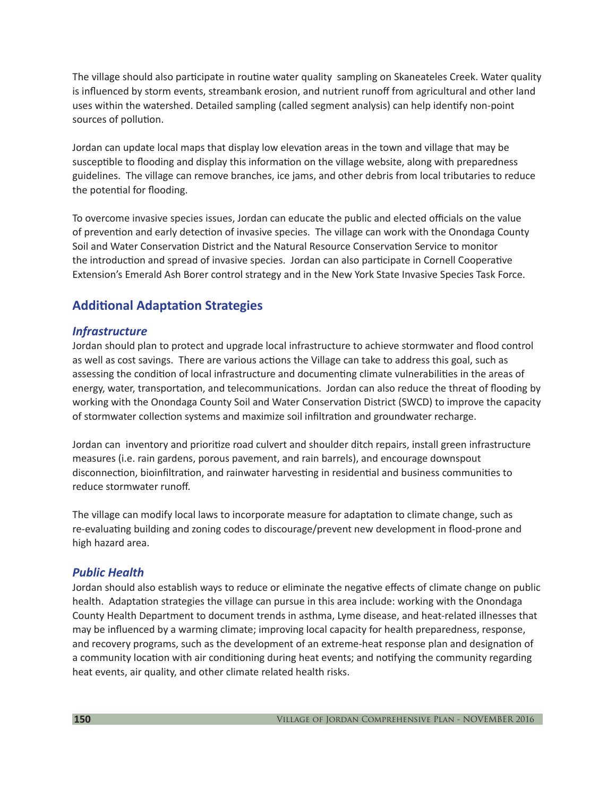The village should also participate in routine water quality sampling on Skaneateles Creek. Water quality is influenced by storm events, streambank erosion, and nutrient runoff from agricultural and other land uses within the watershed. Detailed sampling (called segment analysis) can help identify non-point sources of pollution.

Jordan can update local maps that display low elevation areas in the town and village that may be susceptible to flooding and display this information on the village website, along with preparedness guidelines. The village can remove branches, ice jams, and other debris from local tributaries to reduce the potential for flooding.

To overcome invasive species issues, Jordan can educate the public and elected officials on the value of prevention and early detection of invasive species. The village can work with the Onondaga County Soil and Water Conservation District and the Natural Resource Conservation Service to monitor the introduction and spread of invasive species. Jordan can also participate in Cornell Cooperative Extension's Emerald Ash Borer control strategy and in the New York State Invasive Species Task Force.

# **Additional Adaptation Strategies**

### *Infrastructure*

Jordan should plan to protect and upgrade local infrastructure to achieve stormwater and flood control as well as cost savings. There are various actions the Village can take to address this goal, such as assessing the condition of local infrastructure and documenting climate vulnerabilities in the areas of energy, water, transportation, and telecommunications. Jordan can also reduce the threat of flooding by working with the Onondaga County Soil and Water Conservation District (SWCD) to improve the capacity of stormwater collection systems and maximize soil infiltration and groundwater recharge.

Jordan can inventory and prioritize road culvert and shoulder ditch repairs, install green infrastructure measures (i.e. rain gardens, porous pavement, and rain barrels), and encourage downspout disconnection, bioinfiltration, and rainwater harvesting in residential and business communities to reduce stormwater runoff.

The village can modify local laws to incorporate measure for adaptation to climate change, such as re-evaluating building and zoning codes to discourage/prevent new development in flood-prone and high hazard area.

#### *Public Health*

Jordan should also establish ways to reduce or eliminate the negative effects of climate change on public health. Adaptation strategies the village can pursue in this area include: working with the Onondaga County Health Department to document trends in asthma, Lyme disease, and heat-related illnesses that may be influenced by a warming climate; improving local capacity for health preparedness, response, and recovery programs, such as the development of an extreme‐heat response plan and designation of a community location with air conditioning during heat events; and notifying the community regarding heat events, air quality, and other climate related health risks.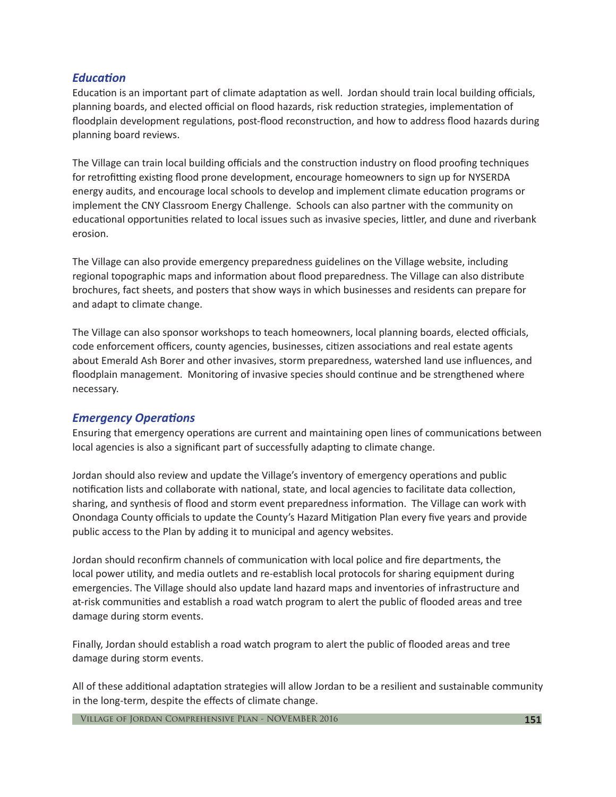#### *Education*

Education is an important part of climate adaptation as well. Jordan should train local building officials, planning boards, and elected official on flood hazards, risk reduction strategies, implementation of floodplain development regulations, post-flood reconstruction, and how to address flood hazards during planning board reviews.

The Village can train local building officials and the construction industry on flood proofing techniques for retrofitting existing flood prone development, encourage homeowners to sign up for NYSERDA energy audits, and encourage local schools to develop and implement climate education programs or implement the CNY Classroom Energy Challenge. Schools can also partner with the community on educational opportunities related to local issues such as invasive species, littler, and dune and riverbank erosion.

The Village can also provide emergency preparedness guidelines on the Village website, including regional topographic maps and information about flood preparedness. The Village can also distribute brochures, fact sheets, and posters that show ways in which businesses and residents can prepare for and adapt to climate change.

The Village can also sponsor workshops to teach homeowners, local planning boards, elected officials, code enforcement officers, county agencies, businesses, citizen associations and real estate agents about Emerald Ash Borer and other invasives, storm preparedness, watershed land use influences, and floodplain management. Monitoring of invasive species should continue and be strengthened where necessary.

#### *Emergency Operations*

Ensuring that emergency operations are current and maintaining open lines of communications between local agencies is also a significant part of successfully adapting to climate change.

Jordan should also review and update the Village's inventory of emergency operations and public notification lists and collaborate with national, state, and local agencies to facilitate data collection, sharing, and synthesis of flood and storm event preparedness information. The Village can work with Onondaga County officials to update the County's Hazard Mitigation Plan every five years and provide public access to the Plan by adding it to municipal and agency websites.

Jordan should reconfirm channels of communication with local police and fire departments, the local power utility, and media outlets and re-establish local protocols for sharing equipment during emergencies. The Village should also update land hazard maps and inventories of infrastructure and at-risk communities and establish a road watch program to alert the public of flooded areas and tree damage during storm events.

Finally, Jordan should establish a road watch program to alert the public of flooded areas and tree damage during storm events.

All of these additional adaptation strategies will allow Jordan to be a resilient and sustainable community in the long-term, despite the effects of climate change.

Village of Jordan Comprehensive Plan - NOVEMBER 2016 **151**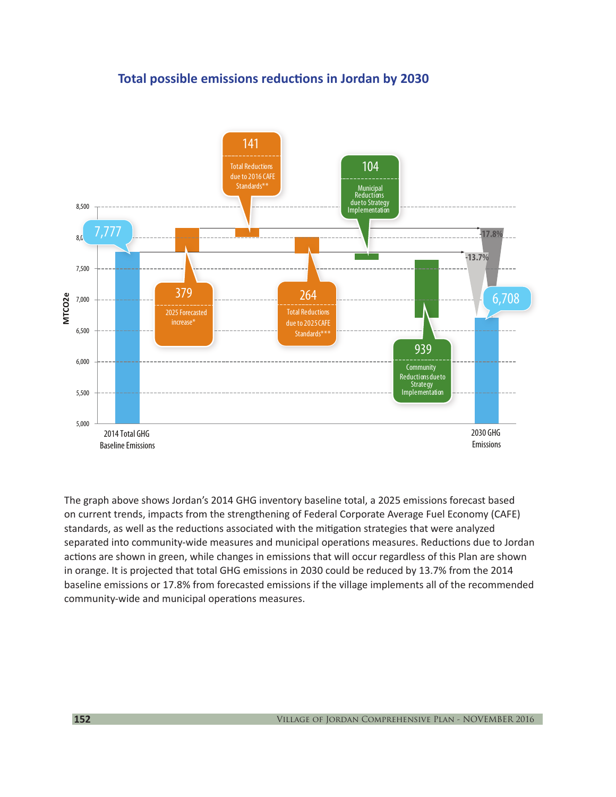# **Total possible emissions reductions in Jordan by 2030**



The graph above shows Jordan's 2014 GHG inventory baseline total, a 2025 emissions forecast based on current trends, impacts from the strengthening of Federal Corporate Average Fuel Economy (CAFE) standards, as well as the reductions associated with the mitigation strategies that were analyzed separated into community-wide measures and municipal operations measures. Reductions due to Jordan actions are shown in green, while changes in emissions that will occur regardless of this Plan are shown in orange. It is projected that total GHG emissions in 2030 could be reduced by 13.7% from the 2014 baseline emissions or 17.8% from forecasted emissions if the village implements all of the recommended community-wide and municipal operations measures.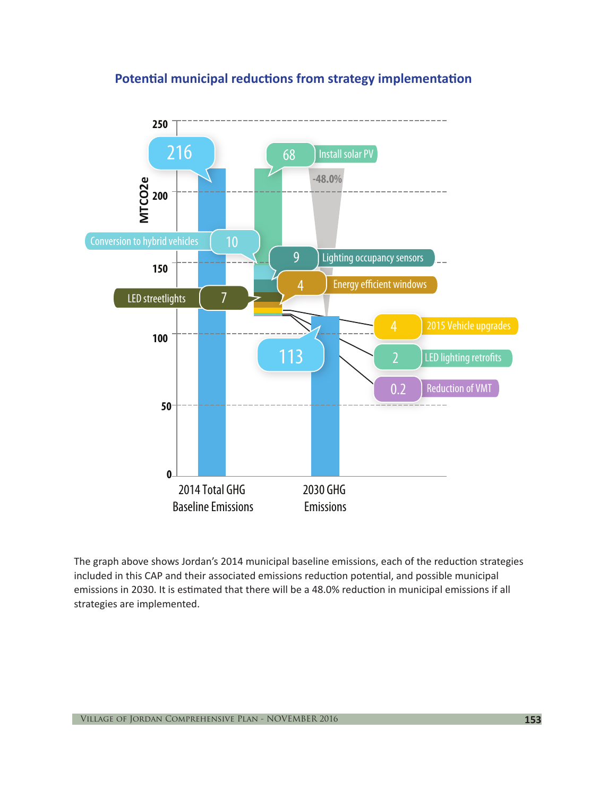# **Potential municipal reductions from strategy implementation**



The graph above shows Jordan's 2014 municipal baseline emissions, each of the reduction strategies included in this CAP and their associated emissions reduction potential, and possible municipal emissions in 2030. It is estimated that there will be a 48.0% reduction in municipal emissions if all strategies are implemented.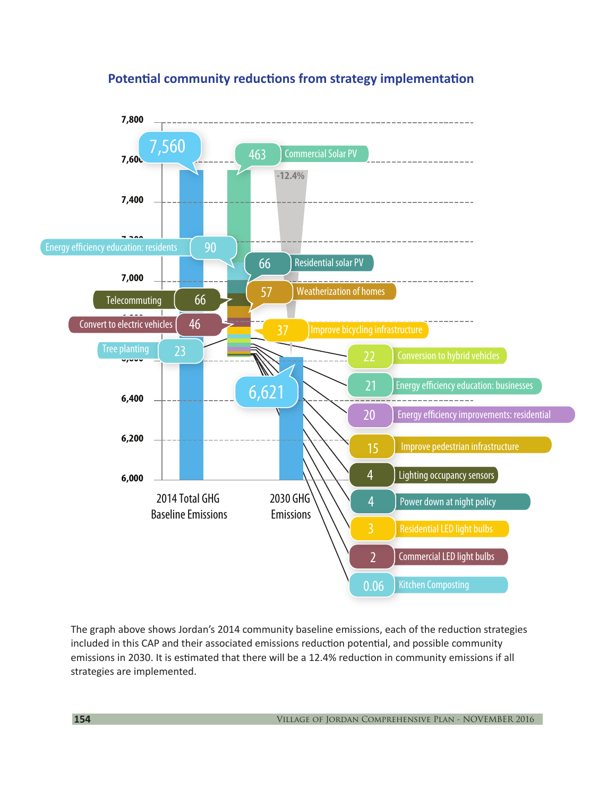

# **Potential community reductions from strategy implementation**

The graph above shows Jordan's 2014 community baseline emissions, each of the reduction strategies included in this CAP and their associated emissions reduction potential, and possible community emissions in 2030. It is estimated that there will be a 12.4% reduction in community emissions if all strategies are implemented.